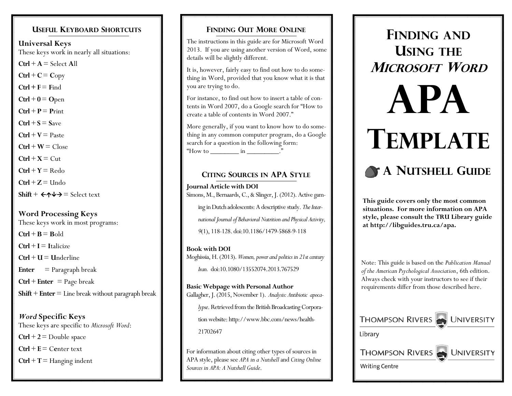#### **USEFUL KEYBOARD SHORTCUTS**

**Universal Keys** These keys work in nearly all situations:  $\text{Ctrl} + \textbf{A} = \text{Select} \textbf{All}$ 

 $\text{Ctrl} + \text{C} = \text{Copy}$ 

 $Ctrl + F = Find$ 

 $Ctrl + 0 = Open$ 

 $\text{Ctrl} + \textbf{P} = \textbf{Print}$ 

 $Ctrl + S = S$ ave

 $Ctrl + V =$  Paste

 $\text{Ctrl} + \text{W} = \text{Close}$ 

 $\mathbf{C}$ trl + **X** =  $\mathbf{C}$ ut

 $\text{Ctrl} + \text{Y} = \text{Redo}$ 

 $\text{Ctrl} + \text{Z} = \text{Undo}$ 

 $Shift + \leftarrow \rightarrow \rightarrow = Select text$ 

## **Word Processing Keys**

These keys work in most programs:

 $C$ **trl** + **B** = **B**old

 $\text{Ctrl} + \textbf{I} = \text{ Italicize}$ 

 $\mathbf{Ctrl} + \mathbf{U} = \mathbf{U}$ nderline

**Enter** = Paragraph break

 $Ctrl + Enter = Page break$ 

**Shift** + **Enter**  $=$  Line break without paragraph break

*Word* **Specific Keys** These keys are specific to *Microsoft Word*: **Ctrl**  $+ 2 =$  Double space  $\mathbf{Ctrl} + \mathbf{E} = \mathbf{Center}$  text **Ctrl**  $+$  **T** = Hanging indent

#### **FINDING OUT MORE ONLINE**

The instructions in this guide are for Microsoft Word 2013. If you are using another version of Word, some details will be slightly different.

It is, however, fairly easy to find out how to do something in Word, provided that you know what it is that you are trying to do.

For instance, to find out how to insert a table of contents in Word 2007, do a Google search for "How to create a table of contents in Word 2007."

More generally, if you want to know how to do something in any common computer program, do a Google search for a question in the following form: "How to  $\frac{\text{m}}{\text{m}}$  in  $\frac{\text{m}}{\text{m}}$ 

## **CITING SOURCES IN APA STYLE**

**Journal Article with DOI** Simons, M., Bernaards, C., & Slinger, J. (2012). Active gaming in Dutch adolescents: A descriptive study. *The International Journal of Behavioral Nutrition and Physical Activity, 9*(1), 118-128. doi:10.1186/1479-5868-9-118

**Book with DOI** Moghissia, H. (2013). *Women, power and politics in 21st century Iran.* doi:10.1080/13552074.2013.767529

**Basic Webpage with Personal Author** Gallagher, J. (2015, November 1). *Analysis: Antibiotic apocalypse*. Retrieved from the British Broadcasting Corporation website: http://www.bbc.com/news/health-21702647

For information about citing other types of sources in APA style, please see *APA in a Nutshell* and *Citing Online Sources in APA: A Nutshell Guide*.

# **FINDING AND USING THE MICROSOFT WORD**

# **APA TEMPLATE**

# **A NUTSHELL GUIDE**

**This guide covers only the most common situations. For more information on APA style, please consult the TRU Library guide at http://libguides.tru.ca/apa.**

Note: This guide is based on the *Publication Manual of the American Psychological Association*, 6th edition. Always check with your instructors to see if their requirements differ from those described here.